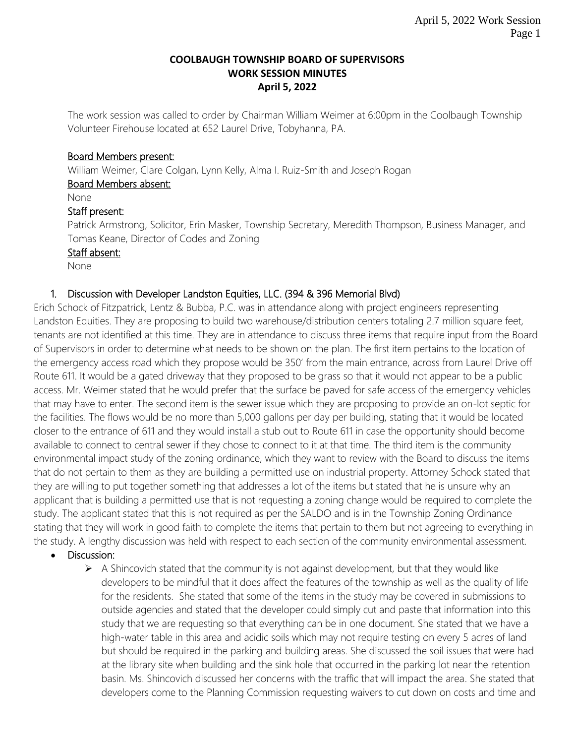#### **COOLBAUGH TOWNSHIP BOARD OF SUPERVISORS WORK SESSION MINUTES April 5, 2022**

The work session was called to order by Chairman William Weimer at 6:00pm in the Coolbaugh Township Volunteer Firehouse located at 652 Laurel Drive, Tobyhanna, PA.

### Board Members present:

William Weimer, Clare Colgan, Lynn Kelly, Alma I. Ruiz-Smith and Joseph Rogan Board Members absent:

#### None

### Staff present:

Patrick Armstrong, Solicitor, Erin Masker, Township Secretary, Meredith Thompson, Business Manager, and Tomas Keane, Director of Codes and Zoning

### Staff absent:

None

### 1. Discussion with Developer Landston Equities, LLC. (394 & 396 Memorial Blvd)

Erich Schock of Fitzpatrick, Lentz & Bubba, P.C. was in attendance along with project engineers representing Landston Equities. They are proposing to build two warehouse/distribution centers totaling 2.7 million square feet, tenants are not identified at this time. They are in attendance to discuss three items that require input from the Board of Supervisors in order to determine what needs to be shown on the plan. The first item pertains to the location of the emergency access road which they propose would be 350' from the main entrance, across from Laurel Drive off Route 611. It would be a gated driveway that they proposed to be grass so that it would not appear to be a public access. Mr. Weimer stated that he would prefer that the surface be paved for safe access of the emergency vehicles that may have to enter. The second item is the sewer issue which they are proposing to provide an on-lot septic for the facilities. The flows would be no more than 5,000 gallons per day per building, stating that it would be located closer to the entrance of 611 and they would install a stub out to Route 611 in case the opportunity should become available to connect to central sewer if they chose to connect to it at that time. The third item is the community environmental impact study of the zoning ordinance, which they want to review with the Board to discuss the items that do not pertain to them as they are building a permitted use on industrial property. Attorney Schock stated that they are willing to put together something that addresses a lot of the items but stated that he is unsure why an applicant that is building a permitted use that is not requesting a zoning change would be required to complete the study. The applicant stated that this is not required as per the SALDO and is in the Township Zoning Ordinance stating that they will work in good faith to complete the items that pertain to them but not agreeing to everything in the study. A lengthy discussion was held with respect to each section of the community environmental assessment.

### Discussion:

 $\triangleright$  A Shincovich stated that the community is not against development, but that they would like developers to be mindful that it does affect the features of the township as well as the quality of life for the residents. She stated that some of the items in the study may be covered in submissions to outside agencies and stated that the developer could simply cut and paste that information into this study that we are requesting so that everything can be in one document. She stated that we have a high-water table in this area and acidic soils which may not require testing on every 5 acres of land but should be required in the parking and building areas. She discussed the soil issues that were had at the library site when building and the sink hole that occurred in the parking lot near the retention basin. Ms. Shincovich discussed her concerns with the traffic that will impact the area. She stated that developers come to the Planning Commission requesting waivers to cut down on costs and time and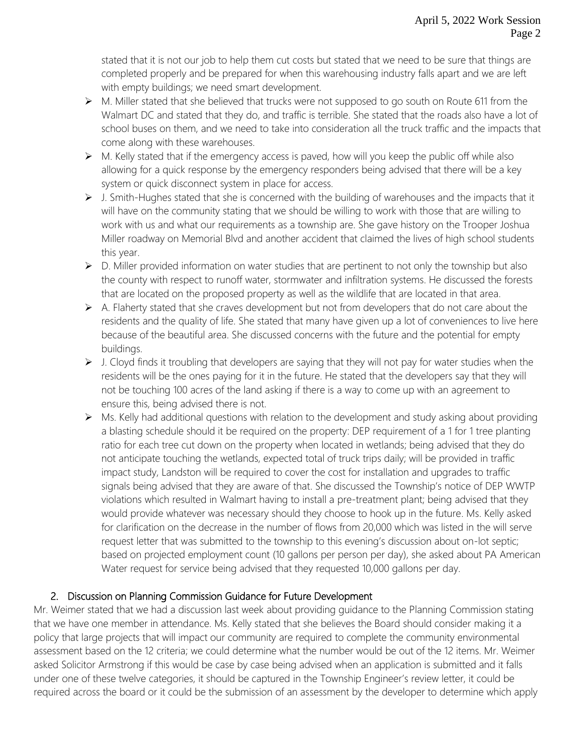stated that it is not our job to help them cut costs but stated that we need to be sure that things are completed properly and be prepared for when this warehousing industry falls apart and we are left with empty buildings; we need smart development.

- $\triangleright$  M. Miller stated that she believed that trucks were not supposed to go south on Route 611 from the Walmart DC and stated that they do, and traffic is terrible. She stated that the roads also have a lot of school buses on them, and we need to take into consideration all the truck traffic and the impacts that come along with these warehouses.
- $\triangleright$  M. Kelly stated that if the emergency access is paved, how will you keep the public off while also allowing for a quick response by the emergency responders being advised that there will be a key system or quick disconnect system in place for access.
- $\triangleright$  J. Smith-Hughes stated that she is concerned with the building of warehouses and the impacts that it will have on the community stating that we should be willing to work with those that are willing to work with us and what our requirements as a township are. She gave history on the Trooper Joshua Miller roadway on Memorial Blvd and another accident that claimed the lives of high school students this year.
- ➢ D. Miller provided information on water studies that are pertinent to not only the township but also the county with respect to runoff water, stormwater and infiltration systems. He discussed the forests that are located on the proposed property as well as the wildlife that are located in that area.
- $\triangleright$  A. Flaherty stated that she craves development but not from developers that do not care about the residents and the quality of life. She stated that many have given up a lot of conveniences to live here because of the beautiful area. She discussed concerns with the future and the potential for empty buildings.
- ➢ J. Cloyd finds it troubling that developers are saying that they will not pay for water studies when the residents will be the ones paying for it in the future. He stated that the developers say that they will not be touching 100 acres of the land asking if there is a way to come up with an agreement to ensure this, being advised there is not.
- ➢ Ms. Kelly had additional questions with relation to the development and study asking about providing a blasting schedule should it be required on the property: DEP requirement of a 1 for 1 tree planting ratio for each tree cut down on the property when located in wetlands; being advised that they do not anticipate touching the wetlands, expected total of truck trips daily; will be provided in traffic impact study, Landston will be required to cover the cost for installation and upgrades to traffic signals being advised that they are aware of that. She discussed the Township's notice of DEP WWTP violations which resulted in Walmart having to install a pre-treatment plant; being advised that they would provide whatever was necessary should they choose to hook up in the future. Ms. Kelly asked for clarification on the decrease in the number of flows from 20,000 which was listed in the will serve request letter that was submitted to the township to this evening's discussion about on-lot septic; based on projected employment count (10 gallons per person per day), she asked about PA American Water request for service being advised that they requested 10,000 gallons per day.

# 2. Discussion on Planning Commission Guidance for Future Development

Mr. Weimer stated that we had a discussion last week about providing guidance to the Planning Commission stating that we have one member in attendance. Ms. Kelly stated that she believes the Board should consider making it a policy that large projects that will impact our community are required to complete the community environmental assessment based on the 12 criteria; we could determine what the number would be out of the 12 items. Mr. Weimer asked Solicitor Armstrong if this would be case by case being advised when an application is submitted and it falls under one of these twelve categories, it should be captured in the Township Engineer's review letter, it could be required across the board or it could be the submission of an assessment by the developer to determine which apply